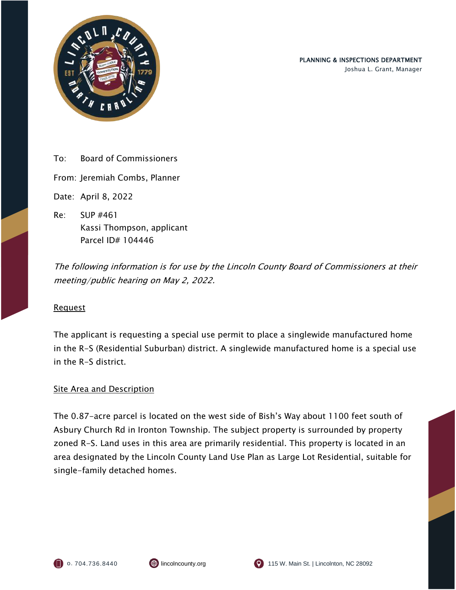

To: Board of Commissioners

From: Jeremiah Combs, Planner

Date: April 8, 2022

Re: SUP #461 Kassi Thompson, applicant Parcel ID# 104446

The following information is for use by the Lincoln County Board of Commissioners at their meeting/public hearing on May 2, 2022.

#### Request

The applicant is requesting a special use permit to place a singlewide manufactured home in the R-S (Residential Suburban) district. A singlewide manufactured home is a special use in the R-S district.

#### **Site Area and Description**

The 0.87-acre parcel is located on the west side of Bish's Way about 1100 feet south of Asbury Church Rd in Ironton Township. The subject property is surrounded by property zoned R-S. Land uses in this area are primarily residential. This property is located in an area designated by the Lincoln County Land Use Plan as Large Lot Residential, suitable for single-family detached homes.



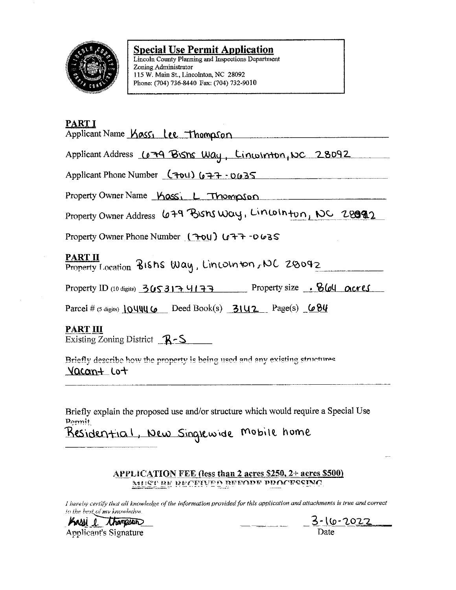

#### **Special Use Permit Application**

Lincoln County Planning and Inspections Department Zoning Administrator 115 W. Main St., Lincolnton, NC 28092 Phone: (704) 736-8440 Fax: (704) 732-9010

### PART I

|  |  | Applicant Name Kass, Lee Thompson |
|--|--|-----------------------------------|
|--|--|-----------------------------------|

Applicant Address Co 79 Bishs Way, Lincolnton, NC 28092

Applicant Phone Number (701) 677-0635

Property Owner Name Kass, L Thompson

Property Owner Address 679 Bishs Way, Lincolnton, NC 28092

Property Owner Phone Number  $(704)$   $(77 - 0635)$ 

## **PART II**

Property Location BISHS Way, Lincolnton, NC 20092

Property ID (10 digits)  $3053174177$  Property size . 8604 ocres

Parcel # (5 digits)  $104446$  Deed Book(s)  $3142$  Page(s)  $684$ 

#### **PART III**

Existing Zoning District  $R-S$ 

Briefly describe how the property is being used and any existing structures <u>Vacan+</u> Lo+

Briefly explain the proposed use and/or structure which would require a Special Use Pormit

Residential, New Singlewide Mobile home

#### **APPLICATION FEE (less than 2 acres \$250, 2+ acres \$500)** MUST BE RECEIVED BEFORE PROCESSING

I hereby certify that all knowledge of the information provided for this application and attachments is true and correct to the best of my knowledge.

Kassi e thampson **Applicant's Signature** 

3-1<u>6-2022</u> Date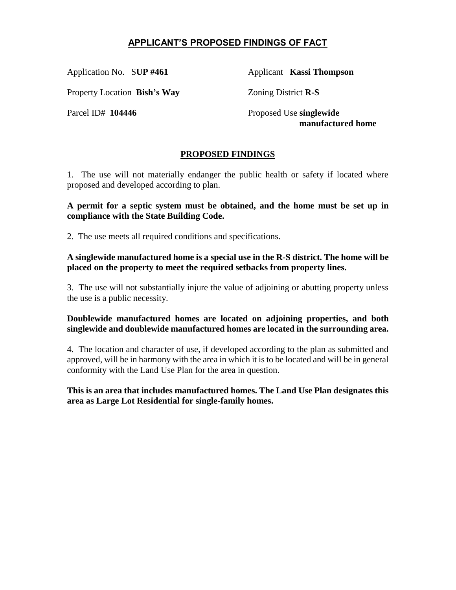# **APPLICANT'S PROPOSED FINDINGS OF FACT**

Application No. S**UP #461** Applicant **Kassi Thompson**

Property Location **Bish's Way** Zoning District **R-S**

Parcel ID# 104446 Proposed Use **singlewide** 

 **manufactured home**

## **PROPOSED FINDINGS**

1. The use will not materially endanger the public health or safety if located where proposed and developed according to plan.

**A permit for a septic system must be obtained, and the home must be set up in compliance with the State Building Code.**

2. The use meets all required conditions and specifications.

**A singlewide manufactured home is a special use in the R-S district. The home will be placed on the property to meet the required setbacks from property lines.** 

3. The use will not substantially injure the value of adjoining or abutting property unless the use is a public necessity.

#### **Doublewide manufactured homes are located on adjoining properties, and both singlewide and doublewide manufactured homes are located in the surrounding area.**

4. The location and character of use, if developed according to the plan as submitted and approved, will be in harmony with the area in which it is to be located and will be in general conformity with the Land Use Plan for the area in question.

**This is an area that includes manufactured homes. The Land Use Plan designates this area as Large Lot Residential for single-family homes.**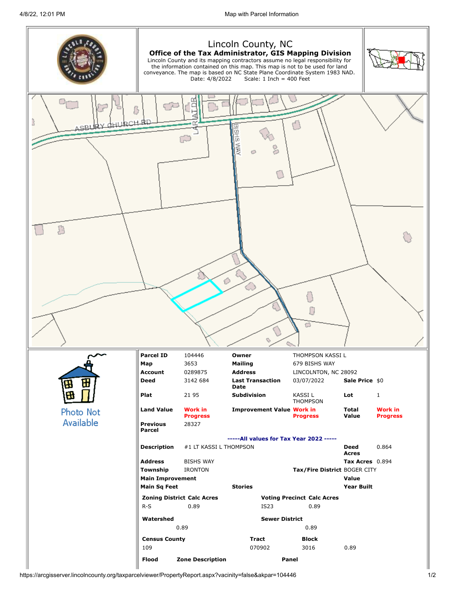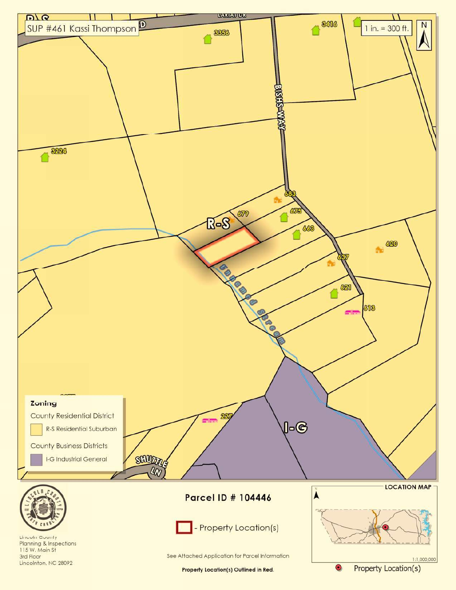